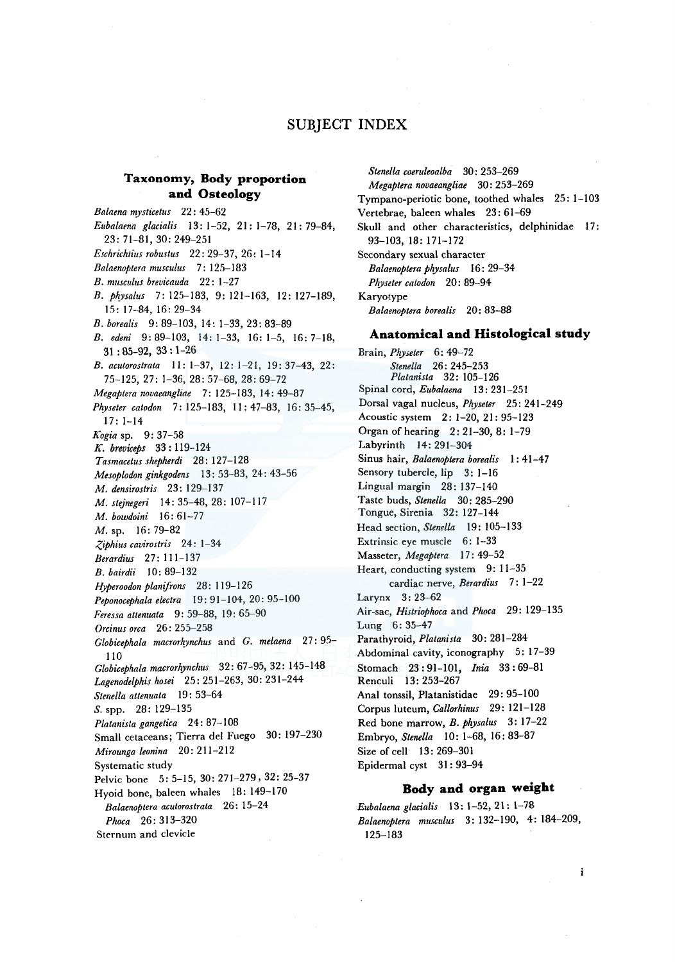# SUBJECT INDEX

# **Taxonomy, Body proportion and Osteology**

*Bnlnena mysticetus* 22: 45-62 *Eubalnena glacialis* 13: 1-52, 21: 1-78, 21: 79-84, 23: 71-81, 30: 249-251 *Eschrichtius robustus* 22: 29-37, 26: 1-14 *Bnlnenoptera musculus* 7: 125-183 *B. musculus brevicnuda* 22: 1-27 *B. Pkysalus* 7: 125-183, 9: 121-163, 12: 127-189, 15: 17-84, 16: 29-34 *B. borealis* 9: 89-103, 14: 1-33, 23: 83-89 *B. edeni* 9: 89-103, 14: 1-33, 16: 1-5, 16: 7-18, 31 : 85-92, 33: 1-26 *B. acutorostrata* 11: 1-37, 12: 1-21, 19: 37-43, 22: 75-125, 27: 1-36, 28: 57-68, 28: 69-72 *Megaptera novaeangline* 7: 125-183, 14: 49-87 *Physeter catodon* 7: 125-183, 11: 47-83, 16: 35-45, 17: 1-14 *Kogia* sp. 9: 37-58 *K. breviceps* 33: 119-124 *Tasmacetus shepherdi* 28: 127-128 *Mesoplodon ginkgodens* 13: 53-83, 24: 43-56 *M. densirostris* 23: 129-137 *M. stejnegeri* 14: 35-48, 28: 107-117 *M. bowdoini* 16: 61-77 M. sp. 16: 79-82 *<:,iphius cavirostris* 24: 1-34 *Berardius* 27: 111-137 *B. bairdii* 10: 89-132 *Hyperoodon planifrons* 28: 119-126 *Peponocephala electra* 19: 91-104, 20: 95-100 *Feressa attenuata* 9: 59-88, 19: 65-90 *Orcinus orca* 26: 255-258 *Globicephala macrorhynchus* and *G. melaena* 27:95-110 *Globicephala macrorhynchus* 32: 67-95, 32: 145-148 *Lagenodelphis hosei* 25: 251-263, 30: 231-244 *Stene/la attenuata* 19: 53-64 S. spp. 28: 129-135 *Platanista gangetica* 24: 87-108 Small cetaceans; Tierra de! Fuego 30: 197-230 *Mirounga leonina* 20: 211-212 Systematic study Pelvic bone 5: 5-15, 30: 271-279, 32: 25-37 Hyoid bone, baleen whales 18: 149-170 *Balaen-0ptera acutorostrala* 26: 15-24 *Phoca* 26: 313-320 Sternum and clevicle

*Stene/la coeruleoalba* 30: 253-269 *Megaptera novaeangliae* 30: 253-269 Tympano-periotic bone, toothed whales 25: 1-103 Vertebrae, baleen whales 23: 61-69 Skull and other characteristics, delphinidae 17: 93-103, 18: 171-172 Secondary sexual character *Balaenoptera PkYsalus* 16: 29-34 *Physeler catodon* 20: 89-94 Karyotype *Balaenoptera borealis* 20: 83-88

## **Anatomical and Histological study**

Brain, *Physeter* 6: 49-72 *Stenella* 26: 245-253 *Platanista* 32: 105-126 Spinal cord, *Eubalaena* 13: 231-251 Dorsal vagal nucleus, *Physeter* 25: 241-249 Acoustic system 2: 1-20, 21: 95-123 Organ of hearing 2: 21-30, 8: 1-79 Labyrinth 14: 291-304 Sinus hair, *Balaenoptera borealis* I: 41-47 Sensory tubercle, lip 3: 1-16 Lingual margin 28: 137-140 Taste buds, *Stenella* 30: 285-290 Tongue, Sirenia 32: 127-144 Head section, *Stene/la* 19: 105-133 Extrinsic eye muscle 6: 1-33 Masseter, *Megaptera* 17: 49-52 Heart, conducting system 9: 11-35 cardiac nerve, *Berardius* 7: 1-22 Larynx 3: 23-62 Air-sac, *Histriophoca* and *Phoca* 29: 129-13.5 Lung 6: 35-47 Parathyroid, *Platanista* 30: 281-284 Abdominal cavity, iconography 5: 17-39 Stomach 23: 91-101, *Inia* 33: 69-81 Renculi 13: 253-267 Anal tonssil, Platanistidae 29: 95-100 Corpus luteum, *Callorhinus* 29: 121-128 Red bone marrow, *B. physalus* 3: 17-22 Embryo, *Stene/la* 10: 1-68, 16: 83-87 Size of cell 13: 269-30 l Epidermal cyst 31: 93-94

## **Body and organ weight**

*Eubalaena glacialis* 13: 1-52, 21: 1-78 *Balaenoptera musculus* 3: 132-190, 4: 184-209, 125-183

i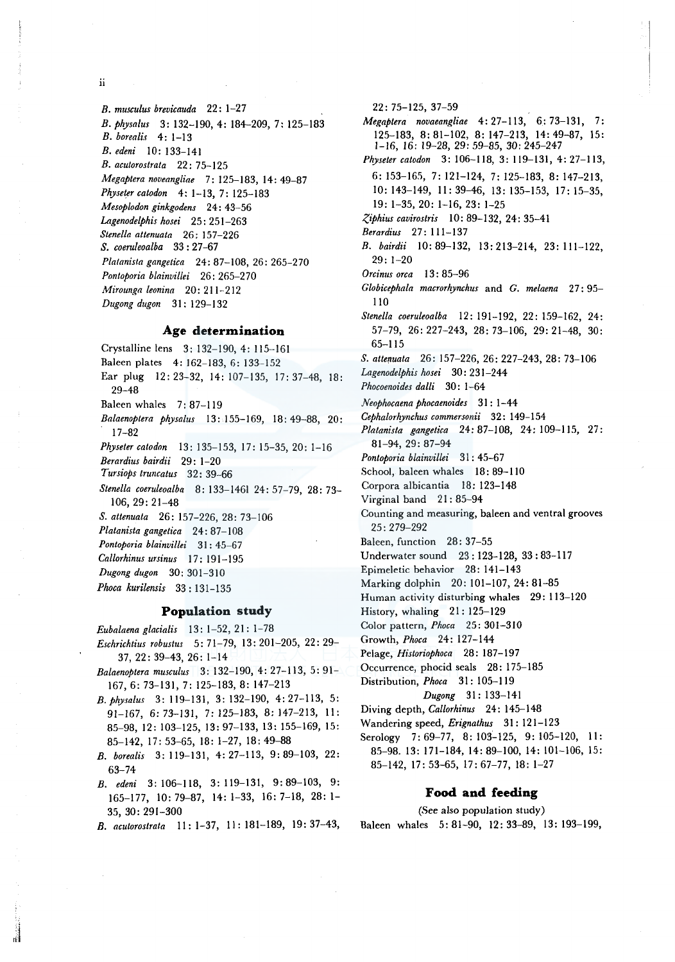**ii** 

*B. musculus brevicauda* 22: 1-27 *B. physalus* 3: 132-190, 4: 184-209, 7: 125-183 *B. borealis* **4:** 1-13 *B. edeni* 10: 133-141 *B. acutorostrata* 22: 7 5-125 *Megaptera noveangliae* 7: 125-183, 14: 49-87 *Physeter catodon* 4: 1-13, 7: 125-183 *Mesoplodon ginkgodens* 24: 43-56 *Lagenodelphis hosei* 25: 251-263 *Stene/la attenuata* 26: 157-226 *S. coeruleoalba* 33: 27-67 *Platanista gangetica* 24: 87-108, 26: 265-270 *Pontoporia blainvillei* 26: 265-270 *Mirounga leonina* 20: 211-212 *Dugong dugon* 31 : 129-132

## **Age determination**

Crystalline lens 3: 132-190, 4: 115-161 Baleen plates 4: 162-183, 6: 133-152 Ear plug 12: 23-32, 14: 107-135, 17: 37-48, 18: 29-48 Baleen whales 7: 87-119 *Balaenoptera physalus* 13: 155-169, 18: 49-88, 20: . 17-82 *Physeter catodon* 13: 135-153, 17: 15-35, 20: 1-16 *Berardius bairdii* 29: 1-20 *Tursiops truncatus* 32: 39-66 *Stene/la coeruleoalba* 8: 133-1461 24: 57-79, 28: 73- 106, 29: 21-48 *S. attenuata* 26: 157-226, 28: 73-106 *Platanista gangetica* 24: 87-108 *Pontoporia blainvillei* 31 : 45-67 *Callorhinus ursinus* 17: 191-195 *Dugong dugon* 30: 301-310 *Phoca kurilensis* 33: 131-135

#### **Population study**

*Eubalaena glacialis* 13 : 1-52, 21 : 1-78

- *Eschrichtius robustus* 5: 71-79, 13: 201-205, 22: 29- 37, 22: 39-43, 26: 1-14
- *Balaenoptera musculus* 3: 132-190, 4: 27-113, 5: 91- 167, 6: 73-131, 7: 125-183, 8: 147-213
- *B. physalus* 3: 119-131, 3: 132-190, 4: 27-113, 5: 91-167, 6: 73--131, 7: 125-183, 8: 147-213, II: 85-98, 12: 103-125, 13: 97-133, 13: 155-169, 15: 85-142, 17: 53-65, 18: 1-27, 18: 49-88
- *B. borealis* 3: 119-131, 4: 27-113, 9: 89-103, 22: 63-74
- *B. edeni* 3: 106-118, 3: 119-131, 9:89-103, 9: 165-177, 10: 79-87, 14: 1-33, 16: 7-18, 28: 1- 35, 30: 291-300
- *B. acutorostrata* 11: 1-37, 11: 181-189, 19: 37-43,

22: 75-125, 37-59

- *Megaptera novaeangliae* 4:27-113, 6:73-131, 7: 125-183, 8: 81-102, 8: 147-213, 14: 49-87, 15: 1-16, *16:* 19-28, *29:* 59-85, 30: 245-247 *Physeter catodon* 3: 106-118, 3: 119--131, 4: 27-113,
- 6: 153-165, 7: 121-124, 7: 125-183, 8: 147-213, 10: 143-149, II: 39-46, 13: 135-153, 17: 15-35, 19: 1-35, 20: 1-16, 23: 1-25

*Ziphius cavirostris* I 0: 89-132, 24: 35-41

- *Berardius* 27: 111-137
- *B. bairdii* 10: 89-132, 13: 213-214, 23: 111-122, 29: 1-20

*Orcinus orca* 13 : 85-96

*Globicephala macrorhynchus* and *G. melaena* 27: 95- 110

*Stene/la coeruleoalba* 12: 191-192, 22: 159-162, 24: 57-79, 26: 227-243, 28: 73-106, 29: 21-48, 30: 65-115

*S. attenuata* 26: 157-226, 26: 227-243, 28: 73-106

*Lagenodelphis hosei* 30: 231-244

*Phocoenoides dalli* 30: 1-64

- *Neophocaena phocaenoides* 31 : 1-44
- *Cephalorhynchus commersonii* 32: 149-154
- *Platanista gangetica* 24: 87-108, 24: 109-115, 27: 81-94, 29: 87-94
- *Pontoporia blainvillei* 31 : 45-67
- School, baleen whales 18: 89-110
- Corpora albicantia 18: 123-148

Virginal band 21:85-94

- Counting and measuring, baleen and ventral grooves 25: 279-292
- Baleen, function 28: 37-55
- Underwater sound 23: 123-128, 33: 83-117
- Epimeletic behavior 28: 141-143
- Marking dolphin 20: 101-107, 24: 81-85
- Human activity disturbing whales 29: 113-120
- History, whaling 21: 125-129
- Color pattern, *Phoca* 25: 301-310
- Growth, *Phoca* 24: 127-144
- Pelage, *Historiophoca* 28: 187-197
- Occurrence, phocid seals 28: 175-185

Distribution, *Phoca* 31: 105-119

- *Dugong* 31: 133-141
- Diving depth, *Callorhinus* 24: 145-148
- Wandering speed, *Erignathus* 31: 121-123
- Serology 7:69-77, 8:103-125, 9:105-120, 11: 85-98. 13: 171-184, 14: 89-100, 14: 101-106, 15: 85-142, 17: 53-65, 17: 67-77, 18: 1-27

#### **Food and feeding**

(See also population study) Baleen whales 5: 81-90, 12: 33-89, 13: 193-199,